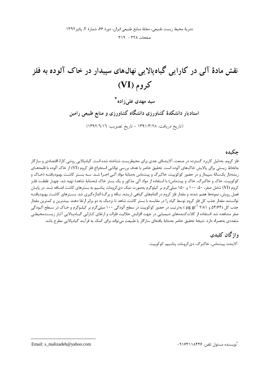# نقش مادهٔ آلی در کارایی گیاه یالایی نهالهای سپیدار در خاک آلوده به فلز کروم (VI)

۔<br>سی**د مهدی عل<sub>ی ز</sub>ادہ** \*

استادیار دانشکدهٔ کشاورزی دانشگاه کشاورزی و منابع طبیعی رامین

(تاريخ دريافت: ١٣٩١/٣/٢٨ - تاريخ تصويب: ١٣٩٢/٦/١٦)

## حكىدە

فلز کروم، بهدلیل کاربرد گسترده در صنعت، آلایندهای جدی برای محیطزیست شناخته شده است. گیاهیالایی روشی کارا، اقتصادی و سازگار بهلحاظ زيستي براي پالايش خاکـهاي آلوده است. تحقيق حاضر با هدف بررسي توانايي استخراج فلز کروم (VI) از خاک آلوده با قلمههـاي ریشهدار یکسالهٔ سپیدار و در حضور کوکوپیت، خاکبرگ و پیتماس بهمثابهٔ مواد آلـی اجـرا شـد. سـه بسـتر کاشـت بهبودیافتـه (خـاک و کوکوپیت، خاک و خاکبرگ، خاک و پیتماس) با استفاده از مواد آلی مذکور و یک بستر خاک (بهمثابهٔ شاهد) تهیه شد. چهـار غلظـت فلـز کروم (VI) شامل صفر، ۵۰، ۱۰۰ و ۱۵۰ میلیگرم بر کیلوگرم بهصورت نمک دیکرومات پتاسیم به بسترهای کاشت اضـافه شـد. در پایـان فصل رویش، نمونهها هضم شدند و مقدار فلز کروم در اندامهای گیاهی (ریشه، ساقه و برگ) اندازهگیری شد. بسـترهای کاشـت بهبودیافتـه توانستند مقدار جذب کل فلز کروم توسط گیاه را در مقایسه با بستر کاشت شاهد تا نزدیک به دو برابر ارتقا دهند. بیشترین و کمترین مقدار جذب کل (۱۶۴/۶۴ و ۱۸۱ \ µg gr) بهترتیب در حضور کوکوپیت در سطح آلودگی ۱۰۰ میلیگرم بر کیلـوگرم و خـاک در سـطح آلـودگی صفر مشاهده شد. استفاده از کلاتکنندههای شیمیایی در جهت افزایش حلالیت فلزات و ارتقای کـارایی گیـاهپـالایی آثـار زيسـتمحيطـی متعددی بههمراه دارد. نتیجهٔ تحقیق حاضر بهمثابهٔ یافتهای سازگار با طبیعت می تواند برای کمک به فرآیند گیاهیالایی مطرح باشد.

> واژگان کلیدی آلاينده، پيتماس، خاكبرگ، ديكرومات پتاسيم، كوكوپيت.

Email: s malizadeh@yahoo.com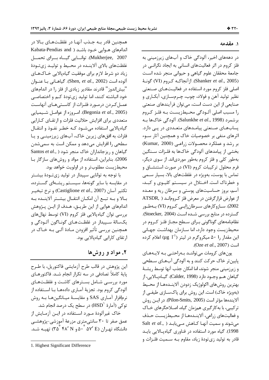## همچنین قادر بـه جـذب آنهـا در غلظـتهـای بـالا در اندامهای هـوایی خـود باشـد ( Kabata-Pendias and Mukherjee, 2007). توانسایی گیساه بسرای تحمسل غلظتهای بالای آلاینـده در محـیط و تولیـد زیتـودهٔ زیاد دو شرط لازم برای موفقیت گیاهپالایی خـاکهـای آلوده است (Shen, et al., 2002). گیاهـانی بـا عنـوان "بیش|ندوز " قادرند مقادیر زیادی از فلز را در اندامهای خود انباشته کنند، اما تولید زی تودهٔ کــم و اختصاصــی عمـل كـردن درمـورد فلـزات از كاسـتىهـاى آنهاسـت (Begonia et al., 2005). امروزه از عوامل شیمیایی متعددی برای افزایش حلالیت فلزات و ارتقــای کــارایی گیاهپالایی استفاده می شـود کـه خطـر نفـوذ و انتقـال فلزات به افقهای زیرین خاک، آبهای زیرزمینـی و یـا سطحی را افزایش میدهد و ممکن است به سمیشدن Santos et al., ) کیاهان و ریز جانداران خاک منجر شود 2006). بنابراین، استفاده از مواد و روشهای سازگار با محيطزيست مطلوبتر و در اولويت خواهد بود.

با توجه به توانایی سییدار در تولید زیتودهٔ بیشتر در مقایسه با سایر گونهها، سیستم ریشـهای گسـترده، تكثير آسان (Castiglione et al., 2007) و نرخ تبخيـر بـالا و بـه تبـع آن امكـان انتقـال بيشـتر آلاينـده بـه اندامهای هوایی از این طریـق، هـدف از ایـن پـژوهش بررسی توان گیاهپالایی فلز کروم (VI) توسط نهالهای يکسالۀ سـييدار در غلظـتھـاي گونـاگون آلـودگي و همچنین بررسی تأثیر افزودن مـادهٔ آلـی بـه خـاک در ارتقای کارایی گیاهیالایی بود.

# ٢. مواد و روشها

این پژوهش در قالب طرح آزمایشی فاکتوریل، با طـرح پایهٔ کاملاً تصادفی در سه تکرار انجام شـد. فاکتورهـای مورد بررسـی شـامل بسـترهای کاشـت و غلظـتهـای آلودگی کروم بود. تجزیهٔ آمـاری دادههـا بـا اسـتفاده از نرمافزار آمـاري SAS و مقايسـهٔ ميـانگينهـا بـه روش توکی (آمارهٔ 'HSD) در سطح یک درصد انجام شد. خاک غیرآلودهٔ مـورد اسـتفاده در ایـن آزمـایش از عمق صفر تا ۳۰ سانتیمتری مزرعهٔ آموزشی-پژوهشـی دانشگاه تهـران (A ° ۵۷′ ۵۲ ° ۵۰ و ۳۵ °۳۵) تهیــه شــد.

### ١. مقدمه

در دهههای اخیر، آلودگی خاک و آبهای زیرزمینی به فلز کروم در اثر فعالیتهای انسانی به ایجاد نگرانبی در جامعهٔ محققان علوم گیاهی و حیوانی منجر شده است (Shanker et al., 2005). از آنجاكـه كـروم (VI) گونـهٔ اصلی فلز کروم مورد استفاده در فعالیتهای صنعتی نظير توليد آهن و فولاد، چوب، چـرمسـازي، آبكـاري و صنایعی از این دست است، می توان فرآیندهای صنعتی را مسبب اصلی آلـودگی محـیطزیسـت بـه فلـز کـروم برشمرد (Salunkhe *et al.*, 1998). آلودگی خاکها بـه پسابهای صنعتی پیامدهای متعددی در پی دارد. اثرهای منفی بر خصوصیات خاک و همچنین آثار سـوء بر رشد و عملكرد محصولات زراعى (Kumar, 2000) بخشی از پیامدهای آلودگی خاکها به فلـزات سـنگین بهطور کلی و فلز کروم بهطور موردیاند. از سوی دیگر، فرم محلول ترکیبات کروم (VI) در صورت استنشــاق و تماس با پوست، بهویژه در غلظتهای بالا، بسیار سـمی و خطرناک است. اختلال در سیستم کلیوی و کبد، آسم، بروز حساسیتهای پوستی و سرطان ریه و معـده از عوارض قرار گرفتن در معرض فلز کرومانـد ( ATSDR 2002). ســازوكارهاي ســرطان;ايــي كــروم (VI) بــهطــور گسترده در منابع بررسی شـده اسـت (Stoecker, 2004). نظامنامههای گوناگونی بـرای سـطح مجـاز فلـز کـروم در محيطزيست وجود دارد، اما سـازمان بهداشـت جهـاني این مقدار را ۵۰ میکروگرم در لیتر (۱<sup>-۱</sup>۱ µg) اعلام کرده است (Oze et al., 2007).

یون های کرومات می تواننـد بـهراحتـی بـه لایـههـای پايينتر خاک حرکت کنند و به آلودگي آبهـاي سـطحي و زیرزمینی منجر شوند، اما امکان جذب آنها توسط ریشـهٔ گياهان هـم وجـود دارد (Calder, 1998). گيـاهيـالايي، از بهترين روش هاي اكولوژيک زدودن آلاينــدههــا از محــيط (بهویژه خاک) است. این روش برای پاکسازی طیفی از آلايندەھا مؤثر است (Pilon-Smits, 2005). در ايــن روش ترکیبی، با به کار گیری همزمان گیاه، اصـلاحگرهای خـاک و فعاليتهاي زراعي، آلاينــدههــا از محــيطزيســت حــذف Salt et al., ) میشوند و سمیت آنهـا کـاهش مـی یابـد 1998). گیاه مورد استفاده در فناوری گیاهپالایی بایـد قادر به تولید زیتودهٔ زیاد، مقاوم بـه ســمیت فلـزات و

<sup>1.</sup> Highest Significant Difference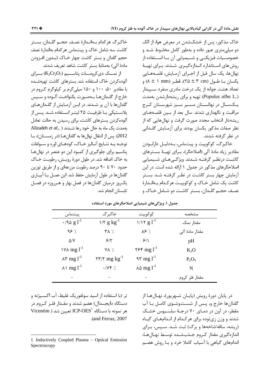خاک مذکور، پس از خشکشدن در معرض هوا، از الک دو میلیمتری عبور داده و بهطور کامل مخلـوط شـد و خصوصــيات فيزيكــي و شــيميايي آن بــا اســتفاده از روش های استاندارد انـدازهگیـری شـدند. بـرای تهیـهٔ نهالها، یک سال قبل از اجـرای آزمـایش، قلمـههـایی  $(\lambda \pm 1 \text{ mm})$  پکسان بـا طـول (۲ cm \* ± ۲ ^)، قطـر (۸ ± ۱ mm) تعداد هشت جوانه از یک درخت مادری منفرد سـییدار (Populus alba L.) تهیه و برای ریشهدارشدن بهمدت یــکســال در نهالســتان مســیر ســبز شهرســتان کــرج مراقبت و نگهداری شدند. سال بعد از بسین قلمـههـای ریشهدار انتخاب مجدد صورت گرفت و نهالهایی که از نظر صفات مذكور يكسان بودند براى آزمـايش گلـدانى د, نظر گرفته شدند.

خاکبرگ، کوکوپیت و پیتماس، بـهدلیـل دارابـودن مقادیر زیاد مادهٔ آلی (اصلاحگر)، بـرای تهیـهٔ بسـترهای کاشت درنظـر گرفتـه شـدند. ویژگــی هـای شــیمیایی اصلاحگرهای مذکور در جدول ۱ ارائه شده است. در این آزمایش چهار بستر کاشت در نظـر گرفتـه شـد. بسـتر کاشت یک شامل خـاک و کوکوپیـت هرکـدام بـهانـدارهٔ نصـف حجــم گلــدان، بســتر كاشــت دو شــامل خــاک و

خاكبرگ هركدام بـهانـدارهٔ نصـف حجـم گلـدان، بسـتر کاشت سه شامل خاک و پیتماس هر کدام بهاندارهٔ نصف حجم گلدان و بستر کاشت چهار خــاک (بــدون افــزودن مادهٔ آلی) بهمثابهٔ بستر کاشت شاهد تعریف شدند.

از نمسک دی کرومسات پتاسسیم (K2Cr2O7) بسرای آلوده کردن خاک استفاده شد. بسترهای کاشت تهیهشـده با مقادیر ۵۰، ۱۰۰ و ۱۵۰ میلی گرم بر کیلوگرم کـروم در خارج از گلـدانهـا بـهصـورت يكنواخـت آلـوده و سـيس گلدانها با آن پر شـدند. در ایــن آزمـایش از گلــدانهـای پلاسـتيكى بــا ظرفيــت ٢۵ ليتــر اســتفاده شــد. پــس از آلوده کردن بسترهای کاشت، برای رسیدن به حالت تعادل Alizadeh et al., ) بهمدت یک ماه به حال خود رها شـدند 2012). پس از انتقال نهال ها به گلدان هـا (در زمسـتان)، بـا توجـه بـه نتـايج آنـاليز خـاک، کودهـای اوره و ســولفات یتاسیم برای جلوگیری از کمبود این دو عنصر در نهال ها به خاک اضافه شد. در طول دورهٔ رویـش، رطوبـت خـاک حدود ۷۰ تا ۹۰ درصد رطوبت مزرعهای و از طریق توزین گلدانها در طول آزمایش حفظ شد. این عمــل بــا آبیــاری یک روز درمیان گلدانها در فصل بهار و هـرروزه در فصـل تابستان انجام شد.

| جدول ۱. ویژگیهای شیمیایی اصلاحگرهای مورد استفاده |  |  |  |
|--------------------------------------------------|--|--|--|
|--------------------------------------------------|--|--|--|

| پيتماس                           | خاکبر گ                                      | كوكوييت                                                       | مشخصه          |
|----------------------------------|----------------------------------------------|---------------------------------------------------------------|----------------|
| $\cdot$ /90 g $l^{-1}$           | $1/7$ g $kg^{-1}$                            | $1/\sqrt{g}$ $1^{-1}$                                         | مقدار نمک      |
| $95$ %                           | <b>TA</b> %                                  | $\lambda$ $\frac{1}{2}$ .                                     | مقدار مادۂ آلی |
| $\Delta$ /Y                      | 5/5                                          | 9/1                                                           | pH             |
| $1$ Y A mg $l^{-1}$              | <b>YA</b> %                                  | $\mathbf{Y} \mathbf{F} \mathbf{m} \mathbf{g} \mathbf{I}^{-1}$ | $K_2O$         |
| $\lambda \mathbf{v}$ mg $l^{-1}$ | $\gamma \gamma / \gamma$ mg kg <sup>-1</sup> | $2^{\gamma}$ mg $l^{-1}$                                      | $P_2O_5$       |
| $\lambda$ \ mg l <sup>-1</sup>   | $\cdot$ / $\vee$ $\uparrow$ /.               | $\lambda \Delta$ mg $l^{-1}$                                  | N              |
|                                  |                                              |                                                               | مقدار فلز کروم |

تر (با استفاده از اسید سولفوریک غلیظ، آب اکسـیژنه و دستگاه دایجسدال) هضم شدند و مقـدار فلـز کـروم در Micentim ) تعیین شد ( ICP-OES استگاه این تعیین شد .(and Ferraz, 2007 در پایان دورهٔ رویش (پایـان شـهریور)، نهـال۱هـا از گلدانها خارج و، پـس از شسـتوشـوی کامـل بـا آب مقطر، در آون در دمـای ۷۰ درجـهٔ سلسـیوس خشـک شدند و وزن زیتوده برای هرکدام از انـدامهـای گیـاه (ریشه، ساقه/شاخهها و برگ) ثبت شـد. سـپس، بـرای اندازه گیری مقدار کروم جـذبشـده توسـط نهـالهـا، اندامهای گیاهی با آسیاب کاملا خرد و بـا روش هضـم

<sup>1.</sup> Inductively Coupled Plasma - Optical Emission Spectroscopy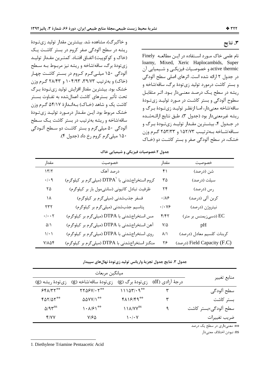و خاکبرگ)، مشاهده شد. بیشترین مقدار تولید زیتودهٔ ریشه در سطح آلودگی صفر کروم در بستر کاشت یک (خاک و کوکوییت) اتفـاق افتـاد. کمتـرین مقـدار تولیـد زی تودهٔ برگ، ساقه/شاخه و ریشه نیز مربوط بـه سـطح آلودگی ۱۵۰ میلی گرم کروم در بستر کاشت چهار (خاک) و بهترتیب ۳۹/۷۳، ۱۰۴/۹۳ و ۲۸/۴۳ گرم وزن خشک بود. بیشترین مقدار افزایش تولید زیتودهٔ برگ تحت تأثير بسترهاي كاشت اعمال شده به تفــاوت بســتر کاشت یک و شاهد (خـاک) بـهانـدازهٔ ۵۴/۱۷ گـرم وزن خشک مربوط بود. ایـن مقـدار درمـورد تولیـد زیِ تـودهٔ ساقه/شاخه و ریشه بهترتیب در بستر کاشت یک سطح آلودگی ۵۰ میلی گرم و بستر کاشت دو سـطح آلـودگی ۱۵۰ میلي گرم کروم رخ داد (جدول ۴).

۳. نتايج

نام علمی خاک مورد استفاده در ایـن مطالعـه Finely loamy, Mixed, Xeric Haplocambids, Super active thermic و خصوصـيات فيزيكـي و شـيميايي آن در جدول ۲ ارائه شده است. اثرهای اصلی سطح آلودگی و بستر کاشت درمورد تولید زی تودهٔ برگ، ساقه/شاخه و ریشه در سطح یک درصد معنـیدار بـود. اثـر متقابـل سطوح آلودگی و بستر کاشت در مـورد تولیـد زیتـودهٔ ساقه/شاخه معنىدار، امـا ازنظـر توليـد زىتـودهٔ بـرگ و ريشه غيرمعني دار بود (جدول ٣). طبق نتايج ارائــهشــده در جـدول ۴، بیشـترین مقـدار تولیـد زیتـودهٔ بـرگ و ساقه/شـاخه بـهترتيـب ١۵٢/٧٣ و ٢٥٣/٣٣ گـرم وزن خشک، در سطح آلودگی صفر و بستر کاشت دو (خیاک

| مقدار                                     | خصوصيت                                                    | مقدار             | خصوصيت                      |
|-------------------------------------------|-----------------------------------------------------------|-------------------|-----------------------------|
| 17/7                                      | درصد آهک                                                  | ۴۱                | شن (درصد)                   |
| $\boldsymbol{\cdot}/\boldsymbol{\cdot}$ ٩ | کروم استخراجشدنی با $\mathrm{DTPA}'$ (میلیگرم بر کیلوگرم) | ۳۵                | سيلت (درصد)                 |
| ۲۵                                        | ظرفیت تبادل کاتیونی (سانتیمول بار بر کیلوگرم)             | ۲۴                | رس (درصد)                   |
| ۱۸                                        | فسفر جذبشدنی (میلیگرم بر کیلوگرم)                         | $\cdot/\lambda$ ۶ | كربن ألى (درصد)             |
| ۲۳۲                                       | پتاسیم جذبشدنی (میلیگرم بر کیلوگرم)                       | $\cdot/\cdot$ Y۶  | نيتروژن (درصد)              |
| $\cdot/\cdot\cdot\mathsf{Y}$              | مس استخراج شدنی با DTPA (میلی گرم بر کیلوگرم)             | f/f               | (دسیزیمنس بر متر) EC        |
| $\Delta/\Lambda$                          | آهن استخراجشدنی با DTPA (میلیگرم بر کیلوگرم)              | $Y/\Delta$        | pH                          |
| $\backslash/\!\cdot\backslash$            | روی استخراجشدنی با DTPA (میلیگرم بر کیلوگرم)              | $\lambda/\lambda$ | كربنات كلسيم معادل (درصد)   |
| $V/\lambda \Delta f$                      | منگنز استخراجشدنی با DTPA (میلیگرم بر کیلوگرم)            | ۲۶                | (درصد) Field Capacity (F.C) |

جدول ٢.خصوصيات فيزيكي و شيميايي خاك

جدول ٣. نتايج جدول تجزيهٔ واريانس توليد زي تودهٔ نهالهاي سپيدار

| ميانگين مربعات                   |                                                         |                                    |                                  |                      |
|----------------------------------|---------------------------------------------------------|------------------------------------|----------------------------------|----------------------|
| زى تودهٔ ريشه (g)                | زى تودهٔ ساقه/شاخه (g)                                  |                                    | درجهٔ آزادی (df) زیتودهٔ برگ (g) | منابع تغيير          |
| $551/TT***$                      | $\Upsilon\Upsilon\Delta\mathcal{F}V/\cdot\Upsilon^{**}$ | $11107/19**$                       |                                  | سطح آلودگی           |
| $f\Delta Y/\Delta Y$ **          | <b>AAYY/1**</b>                                         | $f\Lambda$ $f$ $f$ $f$ $f$ $f$ $f$ |                                  | بستر كاشت            |
| $\Delta$ /9 $\tau$ <sup>ns</sup> | $\left \cdot\right /\mathcal{F}\left $ $^{**}$          | $11A/YY^{ns}$                      |                                  | سطح آلودگی×بستر کاشت |
| Y/YY                             | ۷۱۶۵                                                    | ۰/۰۷ ا                             |                                  | ضريب تغييرات         |

\*\*: معنىداري در سطح يک درصد

ns: نبودن اختلاف معنى دار

1. Diethylene Triamine Pentaacetic Acid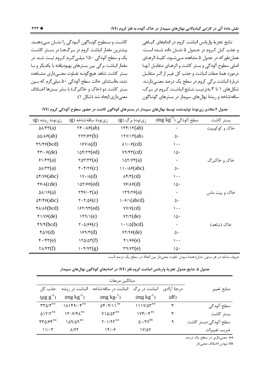نتايج تجزيهٔ واريانس انباشت كروم در اندامهاي گيـاهي و جذب كـل كـروم در جـدول ۵ نشـان داده شـده اسـت. همانطور که در جدول ۵ مشاهده مـی شــود، کلیــهٔ اثرهــای اصلي سطوح آلودگي و بستر كاشت و اثرهـاي متقابـل آنهـا درمورد همهٔ صفات انباشت و جذب کل غیـر از اثـر متقابـل دربارهٔ انباشت برگی کروم در سطح یک درصد معنے دارنـد. شکل های ۱ تا ۳ بهترتیب نتـایج انباشـت کـروم در بـرگ، ساقه/شاخه و ریشهٔ نهال های سیپدار در بسترهای گونـاگون

جدول ۴.مقادیر زی تودهٔ تولیدشده توسط نهالهای سپیدار در بسترهای گوناگون کاشت در حضور سطوح آلودگی کروم (VI) زى تودة ريشه (g)  $\rm (mg\ kg^{-1})$  سطح آلودگی زى تودة ساقە/شاخە (g) زي تودهٔ برگ (g) بستر كاشت  $\Delta\lambda/\mathfrak{r}(\mathbf{a})$  $\Upsilon f \cdot ( \Lambda f(ab) )$  $\Upsilon(\alpha b)$  $\Delta\Delta/\lambda$   $\epsilon$ (ab)  $\tau \tau \tau / \epsilon \tau(b)$  $\Upsilon$  \rv/ $\Upsilon$ (ab)  $\Delta \cdot$  $f9/F6(bcd)$  $YY/\lambda(d)$  $\lambda \frac{\gamma}{\epsilon}$  (cd)  $\mathcal{L}$ .  $\mathfrak{f}\mathfrak{r}/\mathfrak{f}$  (de)  $\lambda \delta f/\tau \tau(ed)$  $Y9/FY(cd)$  $\Delta$ .  $51/FY(a)$  $\forall \Delta \tau / \forall \tau(a)$  $\lambda \Delta Y/YY(a)$  $\ddot{\phantom{a}}$ خاک و خاکبرگ  $\Delta\lambda/\tau\tau(a)$  $\mathbf{Y} \cdot \mathbf{Y}/\mathbf{Y}\mathbf{Y}(\mathbf{C})$  $11.749$ (abc)  $\Delta \cdot$  $\Delta f/V$  (abc)  $\gamma \cdot (\lambda(d))$  $\lambda$ ۴/٣(cd)  $\lambda \cdot \cdot$  $f(x)(cde)$  $\ln \frac{8}{6}$  $Y\mathcal{F}/\lambda\mathcal{F}(d)$  $\Delta$ .  $\Delta\lambda/\lambda\delta(a)$  $\mathsf{Y}\mathsf{F}\mathsf{F}\mathsf{H}\mathsf{F}(\mathsf{a})$  $\Upsilon$   $\Upsilon$   $\Upsilon$   $\Upsilon$   $\Upsilon$   $\Upsilon$   $\Upsilon$  $\bullet$ خاک و پیت ماس  $\Delta f / f \epsilon (abc)$  $\Upsilon \cdot \Upsilon/\Delta \mathcal{F}(c)$  $\frac{1}{2}$  (abcd)  $\Delta \cdot$  $f \wedge \wedge f (bcd)$  $157/97(ed)$  $VV/V(cd)$  $\mathcal{L}$ .  $\frac{4}{\sqrt{2}}$  $149/1(e)$  $YY/Y(de)$  $\Delta$ .  $f9/f(bcd)$  $\mathbf{Y} \cdot \Delta \mathbf{S} \mathbf{S}(\mathbf{C})$  $1.1/\Delta(bcd)$  $\ddot{\phantom{0}}$ خاک (شاهد)  $VT/99(de)$  $f\Delta/V(d)$  $159/7(d)$  $\Delta \cdot$  $f \cdot / f \cdot f(e)$  $150/25(f)$  $f1/69(e)$  $\lambda \cdot \cdot$  $\mathsf{r}\mathsf{a}/\mathsf{v}\mathsf{r}(\mathsf{e})$  $\mathsf{Y}\wedge\mathsf{Y}\mathsf{Y}(f)$  $\mathcal{N} \cdot \mathfrak{f}/\mathfrak{I} \mathfrak{r}(g)$  $\lambda \Delta$ 

حروف مشابه در هر ستون نشان<هندۀ نبودن تفاوت معنىٍدار بين اعداد در سطح يک درصد است.

جدول ۵. نتايج جدول تجزيهٔ واريانس انباشت کروم فلز (VI) در اندامهاي گوناگون نهالهاي سپيدار

| ميانگين مربعات                     |                                                        |                                              |                            |              |                      |
|------------------------------------|--------------------------------------------------------|----------------------------------------------|----------------------------|--------------|----------------------|
| جذب کل                             | انباشت در ریشه                                         | انباشت در ساقه/شاخه                          | انباشت در برگ              | د, جهٔ آ;ادی | منابع تغيير          |
| $(\mu g g^{-1})$                   | $(mg kg^{-1})$                                         | $(mg kg-1)$                                  | $(mg kg^{-1})$             | (df)         |                      |
| $\mathbf{r} \mathbf{r} \mathbf{r}$ | $1\lambda 159/65$                                      | $\Delta \mathbf{f} \cdot \mathbf{f}/11^{**}$ | $111Y/\Delta 5$            | ٣            | سطح آلودگی           |
| Q15/7                              | $\Upsilon \cdot \mathcal{F}/\mathfrak{F} \Lambda^{**}$ | $Y \Omega \Delta \Lambda^*$                  | $1Yf/\cdot f^{**}$         | ٣            | بستر كاشت            |
| $FTQ/FF***$                        | 141/49**                                               | $Y \cdot 1/97***$                            | $\Delta \cdot$ /۲ $V^{ns}$ | ٩            | سطح آلودگی×بستر کاشت |
| 11.7                               | $\lambda$ /YY                                          | 18.9                                         | <b>IVIAV</b>               |              | ضريب تغييرات         |

\*\*: معنىداري در سطح يک درصد

ns: نبودن اختلاف معنىدار

كاشـت و سـطوح گونــاگون آلــودگي را نشــان مــي دهنــد.

بیشترین مقدار انباشت کروم در بـرگهـا در بسـتر کاشـت

یک و سطح آلودگی ۱۵۰ میلے گـرم کـروم ثبـت شـد. در

مقدار انباشت برگی بین بسترهای بهبودیافته با یکدیگر و بـا

بستر كاشت شاهد هيچگونــه تفــاوت معنــىدارى مشــاهده

نشد، بهاستثنای حالت سطح آلودگی ۵۰ میلی گرم که بـین

بستر کاشت دو (خاک و خاکبرگ) با سایر بسترها اخـتلاف

معنىدارى ايجاد شد (شكل ١).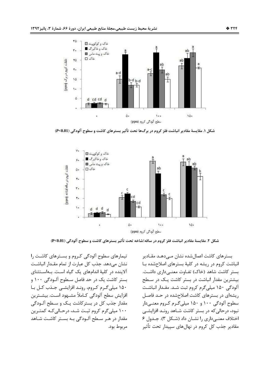

شكل ١. مقايسة مقادير انباشت فلز كروم در برگ0ا تحت تأثير بسترهاي كاشت و سطوح آلودگي (P<0.01)



شكل ٢. مقايسة مقادير انباشت فلز كروم در ساقه/شاخه تحت تأثير بسترهاي كاشت و سطوح آلودگي (P<0.01)

تیمارهای سطوح آلودگی کروم و بسترهای کاشت را نشان می دهد. جذب کل عبارت از تمام مقـدار انباشـت آلاینده در کلیهٔ اندامهای یک گیاه است. بهاستثنای ست کاشت یک در حد فاصل سـطوح آلـودگی ۱۰۰ و ۱۵۰ میلی گـرم کـروم، رونـد افزایشـی جـذب کـل بـا افزايش سطح آلودگي كـاملاً مشــهود اسـت. بيشــترين مقدار جذب کل در بستر کاشت یـک و سـطح آلـودگی ۱۰۰ میلی گرم کروم ثبت شد، درحـالی کـه کمتـرین مقدار در هـر سـطح آلـودگی بـه بسـتر کاشـت شـاهد مربوط بود.

بسترهای کاشت اعمال شده نشان مــی۵هـد مقـادیر انباشت کروم در ریشه در کلیهٔ بسترهای اصلاحشده با بستر كاشت شاهد (خاك) تفـاوت معنــی(داری داشـت. بیشترین مقدار انباشت در بستر کاشت یـک در سـطح آلودگی ۱۵۰ میلی گرم کروم ثبت شد. مقـدار انباشـت ریشهای در بسترهای کاشت اصلاحشده در حـد فاصـل سطوح آلودگی ۱۰۰ و ۱۵۰ میلی گـرم کـروم معنـیدار نبود، درحالی که در بستر کاشت شـاهد رونـد افزایشـی اختلاف معنے داری را نشان داد (شکل ٣). جـدول ۶ مقادیر جذب کل کروم در نهالهای سییدار تحت تأثیر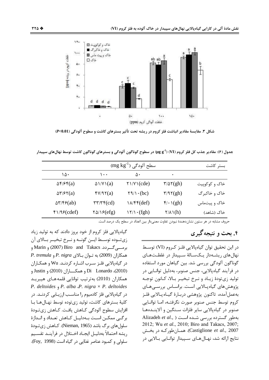

شكل ٣. مقايسة مقادير انباشت فلز كروم در ريشه تحت تأثير بسترهاي كاشت و سطوح آلودگي (P<0.01)

جدول (۶): مقادیر جذب کل فلز کروم (VI) (۳ µg g<sup>-1)</sup> در سطوح گوناگون آلودگی و بسترهای گوناگون کاشت توسط نهالهای سپیدار

|                                                       | بستر كاشت                                              |                                           |                                        |               |
|-------------------------------------------------------|--------------------------------------------------------|-------------------------------------------|----------------------------------------|---------------|
| ۱۵۰                                                   | ۱۰۰                                                    | ۵۰                                        | ٠                                      |               |
| $\Delta f$ / $\epsilon f(a)$                          | $\Delta \frac{1}{V} \cdot (a)$                         | $\gamma$ \/ $\gamma$ \ (cde)              | $\frac{r}{\Delta} \frac{\zeta}{\zeta}$ | خاک و کوکوپیت |
| $\Delta \mathbf{Y}/\mathbf{Y}(a)$                     | fV/97(a)                                               | $\uparrow \uparrow / \uparrow \cdot (bc)$ | $\tau$ /9 $\tau$ (gh)                  | خاک و خاکبر گ |
| $\Delta \mathcal{r}/\mathcal{r}$ $\mathcal{F}$ $(ab)$ | $\mathsf{r}\mathsf{r}/\mathsf{r}\mathsf{r}(\text{cd})$ | $\lambda$ /۴۴(def)                        | $\mathfrak{f}/\cdot\mathfrak{l}(gh)$   | خاک و پیتماس  |
| Y1/99(cdef)                                           | $\sqrt{\Delta} / \sqrt{\epsilon(fg)}$                  | $\binom{\gamma}{\cdot}$ (fgh)             | $\sqrt{\Lambda} \Lambda(h)$            | خاک (شاهد)    |

حروف مشابه در هر ستون نشاندهندهٔ نبودن تفاوت معنیدار بین اعداد در سطح یک درصد است.

۴. بحث و نتیجه گیر ی

در این تحقیق توان گیاهپالایی فلـز کـروم (VI) توسـط نهال های ریشـهدار یـکسـالهٔ سـییدار در غلظـتهـای گوناگون آلودگی بررسی شد. بین گیاهان مورد استفاده در فرآیند گیاهیالایی، جنس صنوبر، بهدلیل توانـایی در توليد زي تودهٔ زيـاد و نـرخ تبخيـر بـالا، كـانون توجـه پژوهش های گیاه پالایی است. براساس بررسـی هـای بەعملآمدە، تاكنون پژوهشى دربـارۂ گيـاەيـالايى فلـز كروم توسط جنس صنوبر صورت نگرفتـه، امـا توانـايي صنوبر در گیاهیالایی سایر فلزات سـنگین و آلاینــدههـا Alizadeh et al., ) بهطور گسترده بررسی شده است 2012; Wu et al., 2010; Biro and Takacs, 2007; Castiglione et al., 2007). همـانطور کـه در بخـش نتایج ارائه شد، نهـالهــای ســییدار توانــایی بــالایی در

گیاه یالایی فلز کروم از خود بروز دادند که به تولید زیاد زي توده توسـط ايــن گونــه و نــرخ تبخيــر بــالاي آن برمے گردد. Marin و Marin) و Marin و *P. tremula* , *P. nigra دان* بالای *P. nigra* و در گیاهپالایی فلـز سـرب اشـاره کردنـد. Wu و همکـاران Di Lonardo ،(2010)، Di و همكساران (2010) و Justin همکاران (2010) بەترتیب توانایی قلمەھـای ھیبریـد P. deltoides  $P.$  alba  $P.$  nigra  $\times$  P. deltoides در گیاهپالایی فلز کادمیوم را مناسب ارزیبایی کردنید. در كليهٔ بسترهای كاشت، توليد زیتوده توسط نهـالهـا بـا افزايش سطوح آلودگي كـاهش يافـت. كـاهش زيتـودهٔ برگے ممکـن اسـت بـهدليـل كـاهش تعـداد و انـدازهٔ سلول های برگ باشد (Nieman, 1965). کـاهش زی تـودهٔ ريشه احتمالاً بەدليـل ايجـاد اخــتلال در فرآينــد تقســيم سلولي و كمبود عناصر غذايي در گياه است (Foy, 1998).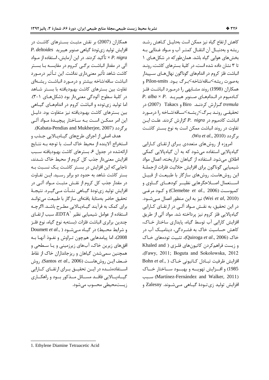كاهش ارتفاع گياه نيز ممكن است بهدليـل كـاهش رشـد ریشه و بهدنبـال آن انتقـال کمتـر آب و مـواد غـذایی بـه بخشهای هوایی گیاه باشد. همانطور که در شکلهای ۱ تا ۳ نشان داده شده است، در کلیهٔ بسترهای کاشت، رونـد انباشت فلز کروم در اندامهای گوناگون نهالهای سـپیدار به صورت ریشه>ساقه/شاخه>برگ بود. Pilon-smits و همکاران (1998) روند مشـابهی را درمـورد انباشـت فلـز P. alba  $\times$  P. حادمیوم در انـدامهـای صـنوبر هیبریـد *tremula گـزارش كردنـد. Biro و Takacs (2007) در* تحقیقے رونـد بـرگ>ریشـه>سـاقه/شـاخه را درمـورد انباشت كادميوم در P. nigra گزارش كردند. علـت ايـن تفاوت در روند انباشت ممکن است به نوع بستر کاشت بر گردد (Wu et al., 2010).

امروزه از روشهای متعددی بـرای ارتقـای کـارایی گیاهیالایی استفاده می شود که به آن گیاهیالایی کمکی اطلاق میشود. استفاده از گیاهان تراریخته، اعمال مواد شيميايي گوناگون براي افزايش حلاليت فلزات ازجملـهٔ این روشهاست. روشهای سازگار با طبیعت از قبیـل اســتعمال اصــلاحگرهايي نظيــر كودهــاي گــاوي و كميوست (Clemebte et al., 2006) وكود مرغبي (Wei et al, 2010) نيز به اين منظور اعمال مـى شـود. در این تحقیق، به نقـش مـواد آلـی در ارتقـای کـارایی گیاهپالایی فلز کروم نیز پرداخته شد. مواد آلی از طریق افزایش کارایی آب توسط گیاه، پایداری ساختار خـاک، کاهش حساسیت خاک به فشـردگی، دینامیـک آب در خاک (Quiroga et al., 2006)، تثبیت تودههای خـاک و زیست فراهم کردن کاتیونهای فلزی ( Khaled and Gawy, 2011; Boguta and Sokolowska, 2012 Bohn et al., ) كاتيونى خاك ( ..Bohn et al 1985) و افسزايش تهويسه و بهبسود سساختار خساك (Martínez-Fernández and Walker, 2011) افزايش توليد زي تـودهٔ گيـاهي مـي شـوند. Zalesny و

همکاران (2007) بر نقش مثبت بسـترهای کاشـت در P. deltoides فياهى صنوبر هيبريد P. deltoides تأكيد كردند. در اين آزمايش، استفاده از مـواد  $\times P.$  nigra آلی در مقدار انباشت برگے کروم در مقایسـه بـا بسـتر كاشت شاهد تأثير معنىدارى نداشت. اين تـأثير درمــورد انباشت ساقه/شاخه بیشتر و درمورد انباشت ریشـهای تفاوت بین بسترهای کاشت بهبودیافته با بسـتر شـاهد در كليهٔ سطوح آلودگی معنی دار بود (شكل هـای ١-٣). اما تولید زی توده و انباشت کروم در اندامهـای گیـاهی بین بسترهای کاشت بهبودیافته نیز متفاوت بود. دلیـل این امر ممکــن اســت بــه ســاختار پیچیــدهٔ مــواد آلــی برگردد (Kabata-Pendias and Mukherjee, 2007).

هدف اصلی از اجرای طرحهای گیـاهیـالایی جـذب و استخراج آلاینده از محیط خاک است. با توجه بـه نتـایج ارائهشده در جدول ۶، بسترهای کاشت بهبودیافته سـبب افزایش معنی دار جذب کل کروم از محیط خاک شـدند، تاجایی که این افزایش در بسـتر کاشـت یـک نسـبت بـه بستر کاشت شاهد به حدود دو برابر رسـید. ایـن تفـاوت در مقدار جذب کل کروم از نقـش مثبـت مــواد آلــي در افزایش تولید زی تودهٔ گیــاهی نشــأت مــی گیــرد. نتیجــهٔ تحقيق حاضر بهمثابة يافتهاى سازكار با طبيعت مى توانـد برای کمک به فرآیند گیـاهپـالایی مطـرح باشـد. اگرچـه استفاده از عوامل شیمیایی نظیر  $\text{EDTA}^\backprime$ ، سبب ارتقــای چندین برابری انباشت فلزات (بستهبه نوع گیاه، نوع فلـز Doumett et al., ) در گیاه مے شود (Doumett et al., ) 2008)، اما پیامدهایی همچون تـراوش و نفـوذ آنهـا بـه افقهای زیرین خاک، آبهای زیرزمینی و یـا سـطحی و همچنین سمیشدن گیاهان و ریزجانداران خاک از نقاط ضعف ایـن روشهاسـت (Santos et al., 2006). روش استفادهشـده در ایــن تحقیــق بــرای ارتقــای کــارایی گیــاهپــالایی فاقــد مســائل مــذکور بــود و راهکــاری زیستمحیطے محسوب مے شود.

<sup>1.</sup> Ethylene Diamine Tetraacetic Acid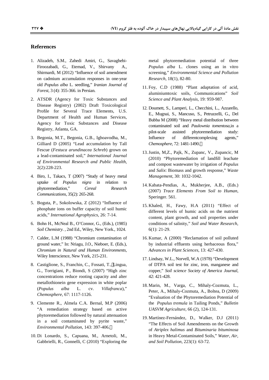#### **References**

- 1. Alizadeh, S.M., Zahedi Amiri, G., Savaghebi-Firoozabadi, G., Etemad, V., Shirvany Shirmardi, M (2012) "Influence of soil amendment on cadmium accumulation responses in one-year old *Populus alba* L. seedling," *Iranian Journal of Forest*, 3 (4): 355-366. in Persian.
- 2. ATSDR (Agency for Toxic Substances and Disease Registry) (2002) Draft Toxicological Profile for Several Trace Elements, U.S. Department of Health and Human Services, Agency for Toxic Substances and Disease Registry, Atlanta, GA.
- 3. Begonia, M.T., Begonia, G.B., Ighoavodha, M., Gilliard D (2005) "Lead accumulation by Tall Fescue (*Festuca arundinacea Schreb*) grown on a lead-contaminated soil," *International Journal of Environmental Research and Public Health*, 2(2):228-223.
- 4. Biro, I., Takacs, T (2007) "Study of heavy metal uptake of *Populus nigra* in relation to phytoremediation," *Cereal Research Communications*, 35(2): 265-268.
- 5. Boguta, P., Sokolowska, Z (2012) "Influence of phosphate ions on buffer capacity of soil humic acids," *International Agrophysics*, 26: 7-14.
- 6. Bohn H., McNeal B., O'Connor, G., (Eds.), (1985) *Soil Chemistry*. , 2nd Ed., Wiley, New York., 1024.
- 7. Calder, L.M (1988) "Chromium contamination of ground water," In: Nriagu, J.O., Nieboer, E. (Eds.), *Chromium in Natural and Human Environments*, Wiley Interscience, New York, 215-231.
- 8. Castiglione, S., Franchin, C., Fossati, T., Lingua, G., Torrigiani, P., Biondi, S (2007) "High zinc concentrations reduce rooting capacity and alter metallothionein gene expression in white poplar (*Populus alba* L. cv. *Villafranca*)," *Chemosphere*, 67: 1117-1126.
- 9. Clemente R., Almela C.A. Bernal, M.P (2006) "A remediation strategy based on active phytoremediation followed by natural attenuation in a soil contaminated by pyrite waste," *Environmental Pollution*, 143: 397-406.
- 10. Di Lonardo, S., Capuana, M., Arnetoli, M., Gabbrielli, R., Gonnelli, C (2010) "Exploring the

metal phytoremediation potential of three *Populus alba* L. clones using an in vitro screening," *Environmental Science and Pollution Research*, 18(1), 82-80.

- 11. Foy, C.D (1988) "Plant adaptation of acid, aluminiumtoxic soils, Communications" *Soil Science and Plant Analysis*, 19: 959-987.
- 12. Doumett, S., Lamperi, L., Checchini, L., Azzarello, E., Mugnai, S., Mancuso, S., Petruzzelli, G., Del Bubba M (2008) "Heavy metal distribution between contaminated soil and *Paulownia tomentosa*,in a pilot-scale assisted phytoremediation study: Influence of differentcomplexing agents," *Chemosphere,* 72: 1481-1490.
- 13.Justin, M,Z., Pajk, N., Zupanc, V., Zupancic, M (2010) "Phytoremediation of landfill leachate and compost wastewater by irrigation of *Populus* and *Salix*: Biomass and growth response," *Waste Management*, 30: 1032-1042.
- 14. Kabata-Pendias, A., Mukherjee, A.B., (Eds.) (2007) *Trace Elements From Soil to Human*, Speringer. 561.
- 15. Khaled, H., Fawy, H.A (2011) "Effect of different levels of humic acids on the nutrient content, plant growth, and soil properties under conditions of salinity," *Soil and Water Research*, 6(1): 21-29.
- 16. Kumar, A (2000) "Reclamation of soil polluted by industrial effluents using herbaceous flora," *Advances in Plant Sciences*, 13: 427-430.
- 17. Lindsay, W.L., Norvell, W.A (1978) "Development of DTPA soil test for zinc, iron, manganese and copper," *Soil science Society of America Journal*, 42: 421-428.
- 18. Marin, M., Varga, C., Mihaly-Cozmuta, L., Peter, A., Mihaly-Cozmuta, A., Boltea, D (2009) "Evaluation of the Phytoremediation Potential of the *Populus tremula* in Tailing Ponds," *Bulletin UASVM Agriculture*, 66 (2), 124-131.
- 19. Martínez-Fernández, D., Walker, D.J (2011) "The Effects of Soil Amendments on the Growth of *Atriplex halimus* and *Bituminaria bituminosa* in Heavy Metal-Contaminated Soils," *Water, Air, and Soil Pollution*, 223(1): 63-72.